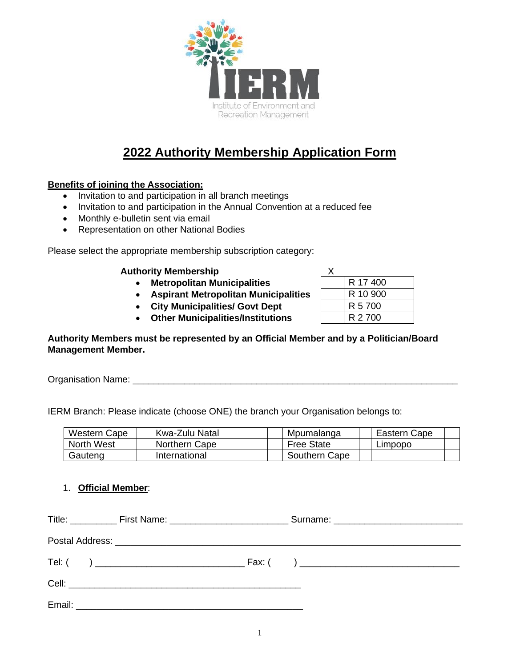

# **2022 Authority Membership Application Form**

### **Benefits of joining the Association:**

- Invitation to and participation in all branch meetings
- Invitation to and participation in the Annual Convention at a reduced fee
- Monthly e-bulletin sent via email
- Representation on other National Bodies

Please select the appropriate membership subscription category:

#### **Authority Membership**

- **Metropolitan Municipalities**
- **Aspirant Metropolitan Municipalities**
- **City Municipalities/ Govt Dept**
- Other Municipalities/Institutions

| R 17 400 |
|----------|
| R 10 900 |
| R 5 700  |
| R 2 700  |

**Authority Members must be represented by an Official Member and by a Politician/Board Management Member.**

Organisation Name: \_\_\_\_\_\_\_\_\_\_\_\_\_\_\_\_\_\_\_\_\_\_\_\_\_\_\_\_\_\_\_\_\_\_\_\_\_\_\_\_\_\_\_\_\_\_\_\_\_\_\_\_\_\_\_\_\_\_\_\_\_\_\_

IERM Branch: Please indicate (choose ONE) the branch your Organisation belongs to:

| Western Cape | Kwa-Zulu Natal | Mpumalanga        | Eastern Cape |
|--------------|----------------|-------------------|--------------|
| North West   | Northern Cape  | <b>Free State</b> | ∟impopo      |
| Gauteng      | International  | Southern Cape     |              |

#### 1. **Official Member**:

|  |  |  | Title: ______________ First Name: ___________________________________Surname: ________________________________ |
|--|--|--|----------------------------------------------------------------------------------------------------------------|
|  |  |  |                                                                                                                |
|  |  |  |                                                                                                                |
|  |  |  |                                                                                                                |
|  |  |  |                                                                                                                |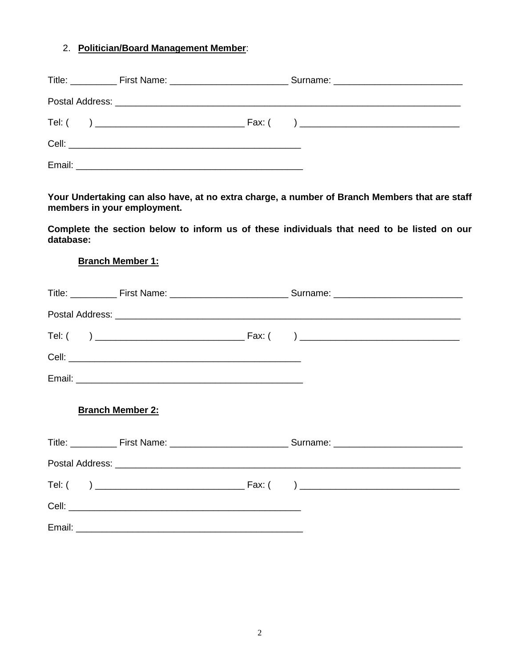## 2. **Politician/Board Management Member**:

**Your Undertaking can also have, at no extra charge, a number of Branch Members that are staff members in your employment.**

**Complete the section below to inform us of these individuals that need to be listed on our database:**

#### **Branch Member 1:**

| Postal Address: <u>Committee Committee Committee Committee Committee Committee Committee Committee Committee Committee</u> |                                                                                                                |  |  |  |
|----------------------------------------------------------------------------------------------------------------------------|----------------------------------------------------------------------------------------------------------------|--|--|--|
|                                                                                                                            |                                                                                                                |  |  |  |
|                                                                                                                            |                                                                                                                |  |  |  |
|                                                                                                                            |                                                                                                                |  |  |  |
|                                                                                                                            | Branch Member 2:                                                                                               |  |  |  |
|                                                                                                                            | Title: ______________ First Name: ___________________________________Surname: ________________________________ |  |  |  |
|                                                                                                                            |                                                                                                                |  |  |  |
|                                                                                                                            |                                                                                                                |  |  |  |
|                                                                                                                            |                                                                                                                |  |  |  |
|                                                                                                                            |                                                                                                                |  |  |  |